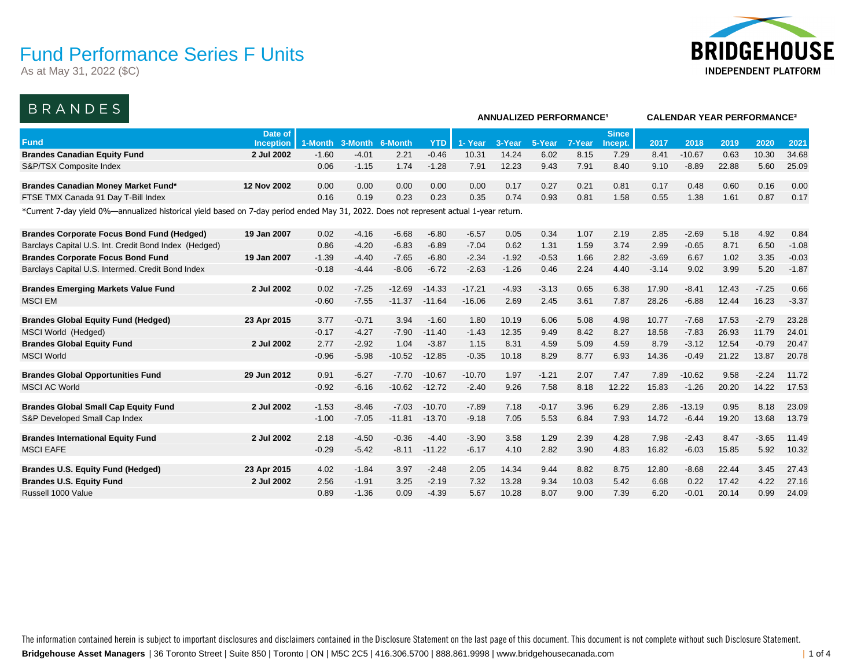As at May 31, 2022 (\$C)



**ANNUALIZED PERFORMANCE¹ CALENDAR YEAR PERFORMANCE²**

### BRANDES

|                                                                                                                                        |                  |         |         |          |            | ANNUALIZED PERFORMANGE |         |         |        |              | CALENDAR TEAR PERFORMANCE <sup>-</sup> |          |       |         |         |  |  |
|----------------------------------------------------------------------------------------------------------------------------------------|------------------|---------|---------|----------|------------|------------------------|---------|---------|--------|--------------|----------------------------------------|----------|-------|---------|---------|--|--|
|                                                                                                                                        | Date of          |         |         |          |            |                        |         |         |        | <b>Since</b> |                                        |          |       |         |         |  |  |
| <b>Fund</b>                                                                                                                            | <b>Inception</b> | 1-Month | 3-Month | 6-Month  | <b>YTD</b> | 1- Year                | 3-Year  | 5-Year  | 7-Year | Incept.      | 2017                                   | 2018     | 2019  | 2020    | 2021    |  |  |
| <b>Brandes Canadian Equity Fund</b>                                                                                                    | 2 Jul 2002       | $-1.60$ | $-4.01$ | 2.21     | $-0.46$    | 10.31                  | 14.24   | 6.02    | 8.15   | 7.29         | 8.41                                   | $-10.67$ | 0.63  | 10.30   | 34.68   |  |  |
| S&P/TSX Composite Index                                                                                                                |                  | 0.06    | $-1.15$ | 1.74     | $-1.28$    | 7.91                   | 12.23   | 9.43    | 7.91   | 8.40         | 9.10                                   | $-8.89$  | 22.88 | 5.60    | 25.09   |  |  |
| <b>Brandes Canadian Money Market Fund*</b>                                                                                             | 12 Nov 2002      | 0.00    | 0.00    | 0.00     | 0.00       | 0.00                   | 0.17    | 0.27    | 0.21   | 0.81         | 0.17                                   | 0.48     | 0.60  | 0.16    | 0.00    |  |  |
| FTSE TMX Canada 91 Day T-Bill Index                                                                                                    |                  | 0.16    | 0.19    | 0.23     | 0.23       | 0.35                   | 0.74    | 0.93    | 0.81   | 1.58         | 0.55                                   | 1.38     | 1.61  | 0.87    | 0.17    |  |  |
| *Current 7-day yield 0%—annualized historical yield based on 7-day period ended May 31, 2022. Does not represent actual 1-year return. |                  |         |         |          |            |                        |         |         |        |              |                                        |          |       |         |         |  |  |
|                                                                                                                                        |                  |         |         |          |            |                        |         |         |        |              |                                        |          |       |         |         |  |  |
| <b>Brandes Corporate Focus Bond Fund (Hedged)</b>                                                                                      | 19 Jan 2007      | 0.02    | $-4.16$ | $-6.68$  | $-6.80$    | $-6.57$                | 0.05    | 0.34    | 1.07   | 2.19         | 2.85                                   | $-2.69$  | 5.18  | 4.92    | 0.84    |  |  |
| Barclays Capital U.S. Int. Credit Bond Index (Hedged)                                                                                  |                  | 0.86    | $-4.20$ | $-6.83$  | $-6.89$    | $-7.04$                | 0.62    | 1.31    | 1.59   | 3.74         | 2.99                                   | $-0.65$  | 8.71  | 6.50    | $-1.08$ |  |  |
| <b>Brandes Corporate Focus Bond Fund</b>                                                                                               | 19 Jan 2007      | $-1.39$ | $-4.40$ | $-7.65$  | $-6.80$    | $-2.34$                | $-1.92$ | $-0.53$ | 1.66   | 2.82         | $-3.69$                                | 6.67     | 1.02  | 3.35    | $-0.03$ |  |  |
| Barclays Capital U.S. Intermed. Credit Bond Index                                                                                      |                  | $-0.18$ | $-4.44$ | $-8.06$  | $-6.72$    | $-2.63$                | $-1.26$ | 0.46    | 2.24   | 4.40         | $-3.14$                                | 9.02     | 3.99  | 5.20    | $-1.87$ |  |  |
| <b>Brandes Emerging Markets Value Fund</b>                                                                                             | 2 Jul 2002       | 0.02    | $-7.25$ | $-12.69$ | $-14.33$   | $-17.21$               | $-4.93$ | $-3.13$ | 0.65   | 6.38         | 17.90                                  | $-8.41$  | 12.43 | $-7.25$ | 0.66    |  |  |
| <b>MSCI EM</b>                                                                                                                         |                  | $-0.60$ | $-7.55$ | $-11.37$ | $-11.64$   | $-16.06$               | 2.69    | 2.45    | 3.61   | 7.87         | 28.26                                  | $-6.88$  | 12.44 | 16.23   | $-3.37$ |  |  |
|                                                                                                                                        |                  |         |         |          |            |                        |         |         |        |              |                                        |          |       |         |         |  |  |
| <b>Brandes Global Equity Fund (Hedged)</b>                                                                                             | 23 Apr 2015      | 3.77    | $-0.71$ | 3.94     | $-1.60$    | 1.80                   | 10.19   | 6.06    | 5.08   | 4.98         | 10.77                                  | $-7.68$  | 17.53 | $-2.79$ | 23.28   |  |  |
| MSCI World (Hedged)                                                                                                                    |                  | $-0.17$ | $-4.27$ | $-7.90$  | $-11.40$   | $-1.43$                | 12.35   | 9.49    | 8.42   | 8.27         | 18.58                                  | $-7.83$  | 26.93 | 11.79   | 24.01   |  |  |
| <b>Brandes Global Equity Fund</b>                                                                                                      | 2 Jul 2002       | 2.77    | $-2.92$ | 1.04     | $-3.87$    | 1.15                   | 8.31    | 4.59    | 5.09   | 4.59         | 8.79                                   | $-3.12$  | 12.54 | $-0.79$ | 20.47   |  |  |
| <b>MSCI World</b>                                                                                                                      |                  | $-0.96$ | $-5.98$ | $-10.52$ | $-12.85$   | $-0.35$                | 10.18   | 8.29    | 8.77   | 6.93         | 14.36                                  | $-0.49$  | 21.22 | 13.87   | 20.78   |  |  |
|                                                                                                                                        |                  |         |         |          |            |                        |         |         |        |              |                                        |          |       |         |         |  |  |
| <b>Brandes Global Opportunities Fund</b>                                                                                               | 29 Jun 2012      | 0.91    | $-6.27$ | $-7.70$  | $-10.67$   | $-10.70$               | 1.97    | $-1.21$ | 2.07   | 7.47         | 7.89                                   | $-10.62$ | 9.58  | $-2.24$ | 11.72   |  |  |
| <b>MSCI AC World</b>                                                                                                                   |                  | $-0.92$ | $-6.16$ | $-10.62$ | $-12.72$   | $-2.40$                | 9.26    | 7.58    | 8.18   | 12.22        | 15.83                                  | $-1.26$  | 20.20 | 14.22   | 17.53   |  |  |
| <b>Brandes Global Small Cap Equity Fund</b>                                                                                            | 2 Jul 2002       | $-1.53$ | $-8.46$ | $-7.03$  | $-10.70$   | $-7.89$                | 7.18    | $-0.17$ | 3.96   | 6.29         | 2.86                                   | $-13.19$ | 0.95  | 8.18    | 23.09   |  |  |
| S&P Developed Small Cap Index                                                                                                          |                  | $-1.00$ | $-7.05$ | $-11.81$ | $-13.70$   | $-9.18$                | 7.05    | 5.53    | 6.84   | 7.93         | 14.72                                  | $-6.44$  | 19.20 | 13.68   | 13.79   |  |  |
|                                                                                                                                        |                  |         |         |          |            |                        |         |         |        |              |                                        |          |       |         |         |  |  |
| <b>Brandes International Equity Fund</b>                                                                                               | 2 Jul 2002       | 2.18    | $-4.50$ | $-0.36$  | $-4.40$    | $-3.90$                | 3.58    | 1.29    | 2.39   | 4.28         | 7.98                                   | $-2.43$  | 8.47  | $-3.65$ | 11.49   |  |  |
| <b>MSCI EAFE</b>                                                                                                                       |                  | $-0.29$ | $-5.42$ | $-8.11$  | $-11.22$   | $-6.17$                | 4.10    | 2.82    | 3.90   | 4.83         | 16.82                                  | $-6.03$  | 15.85 | 5.92    | 10.32   |  |  |
| <b>Brandes U.S. Equity Fund (Hedged)</b>                                                                                               | 23 Apr 2015      | 4.02    | $-1.84$ | 3.97     | $-2.48$    | 2.05                   | 14.34   | 9.44    | 8.82   | 8.75         | 12.80                                  | $-8.68$  | 22.44 | 3.45    | 27.43   |  |  |
| <b>Brandes U.S. Equity Fund</b>                                                                                                        | 2 Jul 2002       | 2.56    | $-1.91$ | 3.25     | $-2.19$    | 7.32                   | 13.28   | 9.34    | 10.03  | 5.42         | 6.68                                   | 0.22     | 17.42 | 4.22    | 27.16   |  |  |
| Russell 1000 Value                                                                                                                     |                  | 0.89    | $-1.36$ | 0.09     | $-4.39$    | 5.67                   | 10.28   | 8.07    | 9.00   | 7.39         | 6.20                                   | $-0.01$  | 20.14 | 0.99    | 24.09   |  |  |
|                                                                                                                                        |                  |         |         |          |            |                        |         |         |        |              |                                        |          |       |         |         |  |  |

**Bridgehouse Asset Managers** | 36 Toronto Street | Suite 850 | Toronto | ON | M5C 2C5 | 416.306.5700 | 888.861.9998 | www.bridgehousecanada.com | 1 of 4 The information contained herein is subject to important disclosures and disclaimers contained in the Disclosure Statement on the last page of this document. This document is not complete without such Disclosure Statement.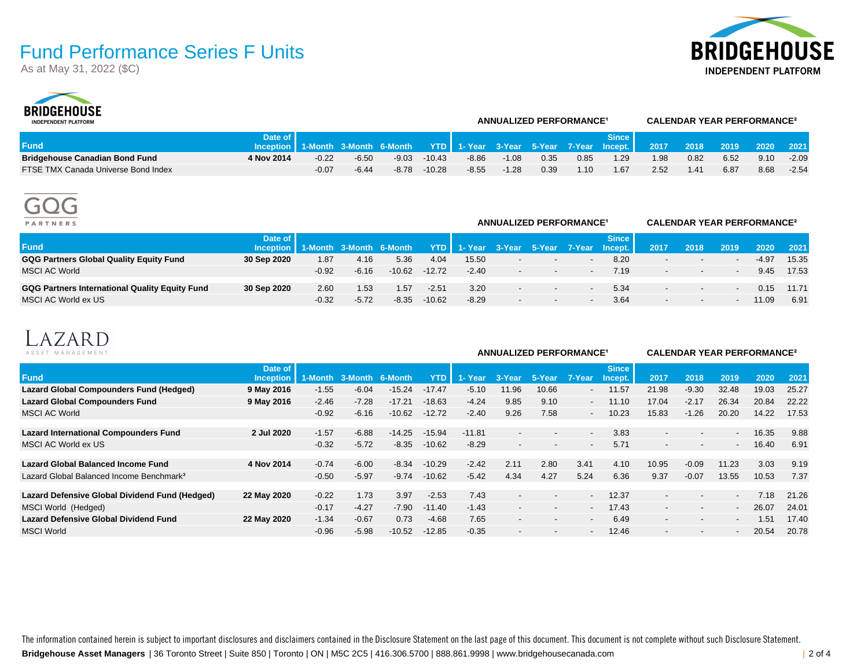As at May 31, 2022 (\$C)





| <b>INDEPENDENT PLATFORM</b>           |                                                                                                    |         |         |         |          |         |         | <b>ANNUALIZED PERFORMANCE<sup>1</sup></b> |      |       |      |      | <b>CALENDAR YEAR PERFORMANCE<sup>2</sup></b> |      |         |
|---------------------------------------|----------------------------------------------------------------------------------------------------|---------|---------|---------|----------|---------|---------|-------------------------------------------|------|-------|------|------|----------------------------------------------|------|---------|
|                                       | Date of I                                                                                          |         |         |         |          |         |         |                                           |      | Since |      |      |                                              |      |         |
| <b>Fund</b>                           | Inception 1-Month 3-Month 6-Month YTD 1-Year 3-Year 5-Year 7-Year Incept. 2017 2018 2019 2020 2021 |         |         |         |          |         |         |                                           |      |       |      |      |                                              |      |         |
| <b>Bridgehouse Canadian Bond Fund</b> | 4 Nov 2014                                                                                         | $-0.22$ | $-6.50$ | $-9.03$ | $-10.43$ | $-8.86$ | $-1.08$ | 0.35                                      | 0.85 | 1.29  | 1.98 | 0.82 | 6.52                                         | 9.10 | $-2.09$ |
| FTSE TMX Canada Universe Bond Index   |                                                                                                    | $-0.07$ | $-6.44$ | -8.78   | $-10.28$ | -8.55   | $-1.28$ | 0.39                                      | 1.10 | l.67  | 2.52 | 1.41 | 6.87                                         | 8.68 | $-2.54$ |



| <b>PARTNERS</b>                                |                                                |         | <b>ANNUALIZED PERFORMANCE<sup>1</sup></b> |          |          | <b>CALENDAR YEAR PERFORMANCE<sup>2</sup></b> |                          |        |     |              |                          |                          |      |         |       |
|------------------------------------------------|------------------------------------------------|---------|-------------------------------------------|----------|----------|----------------------------------------------|--------------------------|--------|-----|--------------|--------------------------|--------------------------|------|---------|-------|
| <b>Fund</b>                                    | Date of I<br>Inception 1-Month 3-Month 6-Month |         |                                           |          |          | YTD 1- Year 3-Year 5-Year 7-Year Incept.     |                          |        |     | <b>Since</b> | 2017                     | 2018                     | 2019 | 2020    | 2021  |
| <b>GQG Partners Global Quality Equity Fund</b> | 30 Sep 2020                                    | 1.87    | 4.16                                      | 5.36     | 4.04     | 15.50                                        | $\overline{\phantom{0}}$ | $\sim$ |     | 8.20         |                          | $\overline{\phantom{a}}$ |      | $-4.97$ | 15.35 |
| <b>MSCI AC World</b>                           |                                                | $-0.92$ | $-6.16$                                   | $-10.62$ | $-12.72$ | $-2.40$                                      | $\overline{\phantom{0}}$ | $\sim$ |     | 7.19         |                          | $\overline{\phantom{a}}$ |      | 9.45    | 17.53 |
| GQG Partners International Quality Equity Fund | 30 Sep 2020                                    | 2.60    | 1.53                                      | 1.57     | $-2.51$  | 3.20                                         | $\overline{a}$           | $\sim$ | $-$ | 5.34         |                          | $\sim$                   |      | 0.15    | 11.71 |
| MSCI AC World ex US                            |                                                | $-0.32$ | $-5.72$                                   | $-8.35$  | $-10.62$ | $-8.29$                                      | $\overline{a}$           | $\sim$ |     | 3.64         | $\overline{\phantom{a}}$ | $\sim$                   |      | 11.09   | 6.91  |



| -------<br>MANAGEMENT<br>ASSET                                      |                      |                    |                    |                     |                      |                     |                                                      | <b>ANNUALIZED PERFORMANCE<sup>1</sup></b> |                                                      | <b>CALENDAR YEAR PERFORMANCE?</b> |                                                      |                                                      |                  |                |              |
|---------------------------------------------------------------------|----------------------|--------------------|--------------------|---------------------|----------------------|---------------------|------------------------------------------------------|-------------------------------------------|------------------------------------------------------|-----------------------------------|------------------------------------------------------|------------------------------------------------------|------------------|----------------|--------------|
| <b>Fund</b>                                                         | Date of<br>Inception | 1-Month            | 3-Month            | 6-Month             | YTD                  | 1- Year             | 3-Year                                               | 5-Year                                    | 7-Year                                               | <b>Since</b><br>Incept.           | 2017                                                 | 2018                                                 | 2019             | 2020           | 2021         |
| Lazard Global Compounders Fund (Hedged)                             | 9 May 2016           | $-1.55$            | $-6.04$            | $-15.24$            | $-17.47$             | $-5.10$             | 11.96                                                | 10.66                                     | $\overline{\phantom{a}}$                             | 11.57                             | 21.98                                                | $-9.30$                                              | 32.48            | 19.03          | 25.27        |
| <b>Lazard Global Compounders Fund</b>                               | 9 May 2016           | $-2.46$            | $-7.28$            | $-17.21$            | $-18.63$             | $-4.24$             | 9.85                                                 | 9.10                                      | $\overline{\phantom{a}}$                             | 11.10                             | 17.04                                                | $-2.17$                                              | 26.34            | 20.84          | 22.22        |
| MSCI AC World                                                       |                      | $-0.92$            | $-6.16$            | $-10.62$            | $-12.72$             | $-2.40$             | 9.26                                                 | 7.58                                      |                                                      | 10.23                             | 15.83                                                | $-1.26$                                              | 20.20            | 14.22          | 17.53        |
| <b>Lazard International Compounders Fund</b><br>MSCI AC World ex US | 2 Jul 2020           | $-1.57$<br>$-0.32$ | $-6.88$<br>$-5.72$ | $-14.25$<br>$-8.35$ | $-15.94$<br>$-10.62$ | $-11.81$<br>$-8.29$ | $\overline{\phantom{a}}$<br>$\overline{\phantom{a}}$ | $\overline{\phantom{a}}$                  | $\overline{\phantom{0}}$<br>$\overline{\phantom{a}}$ | 3.83<br>5.71                      | $\overline{\phantom{0}}$<br>$\overline{\phantom{a}}$ | $\overline{\phantom{0}}$<br>$\overline{\phantom{a}}$ | $\sim$<br>$\sim$ | 16.35<br>16.40 | 9.88<br>6.91 |
|                                                                     |                      |                    |                    |                     |                      |                     |                                                      |                                           |                                                      |                                   |                                                      |                                                      |                  |                |              |
| <b>Lazard Global Balanced Income Fund</b>                           | 4 Nov 2014           | $-0.74$            | $-6.00$            | $-8.34$             | $-10.29$             | $-2.42$             | 2.11                                                 | 2.80                                      | 3.41                                                 | 4.10                              | 10.95                                                | $-0.09$                                              | 11.23            | 3.03           | 9.19         |
| Lazard Global Balanced Income Benchmark <sup>3</sup>                |                      | $-0.50$            | $-5.97$            | $-9.74$             | $-10.62$             | $-5.42$             | 4.34                                                 | 4.27                                      | 5.24                                                 | 6.36                              | 9.37                                                 | $-0.07$                                              | 13.55            | 10.53          | 7.37         |
| Lazard Defensive Global Dividend Fund (Hedged)                      | 22 May 2020          | $-0.22$            | 1.73               | 3.97                | $-2.53$              | 7.43                | $\overline{\phantom{a}}$                             | $\overline{\phantom{a}}$                  |                                                      | 12.37                             | $\overline{\phantom{a}}$                             | $\overline{\phantom{0}}$                             |                  | 7.18           | 21.26        |
| MSCI World (Hedged)                                                 |                      | $-0.17$            | $-4.27$            | $-7.90$             | -11.40               | $-1.43$             | $\overline{\phantom{a}}$                             |                                           | $\overline{\phantom{a}}$                             | 17.43                             | $\overline{\phantom{0}}$                             | $\overline{\phantom{0}}$                             | $\sim$           | 26.07          | 24.01        |
| Lazard Defensive Global Dividend Fund                               | 22 May 2020          | $-1.34$            | $-0.67$            | 0.73                | $-4.68$              | 7.65                | $\overline{\phantom{a}}$                             | $\overline{\phantom{a}}$                  | $\overline{\phantom{a}}$                             | 6.49                              | $\overline{\phantom{a}}$                             | $\overline{\phantom{0}}$                             |                  | 1.51           | 17.40        |
| <b>MSCI World</b>                                                   |                      | $-0.96$            | $-5.98$            | $-10.52$            | $-12.85$             | $-0.35$             | $\overline{\phantom{a}}$                             |                                           |                                                      | 12.46                             |                                                      |                                                      |                  | 20.54          | 20.78        |

**Bridgehouse Asset Managers** | 36 Toronto Street | Suite 850 | Toronto | ON | M5C 2C5 | 416.306.5700 | 888.861.9998 | www.bridgehousecanada.com | 2 of 4 The information contained herein is subject to important disclosures and disclaimers contained in the Disclosure Statement on the last page of this document. This document is not complete without such Disclosure Statement.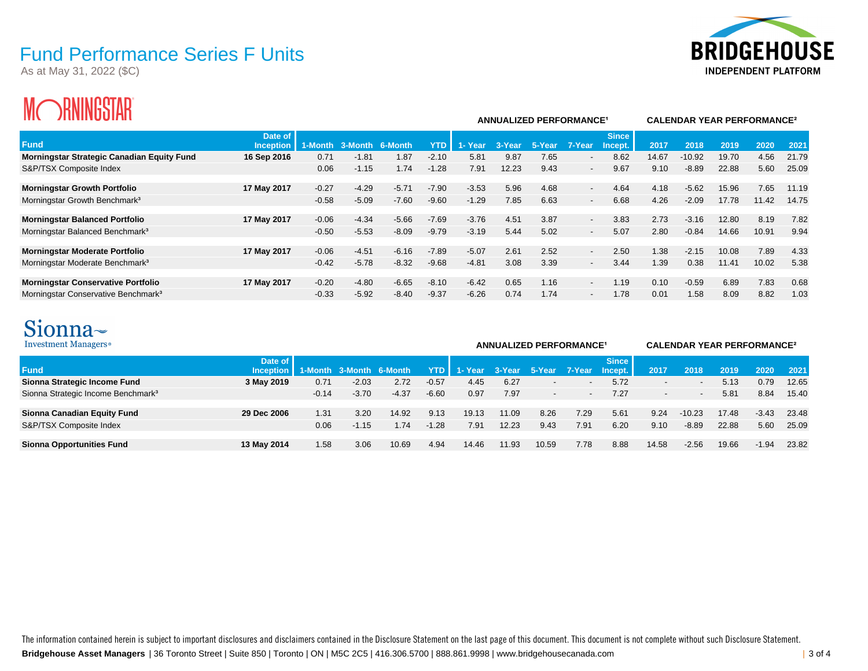As at May 31, 2022 (\$C)



# **MORNINGSTAR**

| ZIUVINUUIAIL<br>IVIN                              |                             |         |         |         |            |         | <b>ANNUALIZED PERFORMANCE<sup>1</sup></b> |            |                          | <b>CALENDAR YEAR PERFORMANCE<sup>2</sup></b> |       |          |       |       |       |
|---------------------------------------------------|-----------------------------|---------|---------|---------|------------|---------|-------------------------------------------|------------|--------------------------|----------------------------------------------|-------|----------|-------|-------|-------|
| <b>Fund</b>                                       | Date of<br><b>Inception</b> | 1-Month | 3-Month | 6-Month | <b>YTD</b> | 1-Year  | 3-Year                                    | ' 5-Year . | 7-Year                   | <b>Since</b><br>Incept.                      | 2017  | 2018     | 2019  | 2020  | 2021  |
| <b>Morningstar Strategic Canadian Equity Fund</b> | 16 Sep 2016                 | 0.71    | $-1.81$ | 1.87    | $-2.10$    | 5.81    | 9.87                                      | 7.65       | $\overline{\phantom{a}}$ | 8.62                                         | 14.67 | $-10.92$ | 19.70 | 4.56  | 21.79 |
| S&P/TSX Composite Index                           |                             | 0.06    | $-1.15$ | 1.74    | $-1.28$    | 7.91    | 12.23                                     | 9.43       | $\sim$                   | 9.67                                         | 9.10  | $-8.89$  | 22.88 | 5.60  | 25.09 |
| <b>Morningstar Growth Portfolio</b>               | 17 May 2017                 | $-0.27$ | $-4.29$ | $-5.71$ | $-7.90$    | $-3.53$ | 5.96                                      | 4.68       | $\sim$                   | 4.64                                         | 4.18  | $-5.62$  | 15.96 | 7.65  | 11.19 |
| Morningstar Growth Benchmark <sup>3</sup>         |                             | $-0.58$ | $-5.09$ | $-7.60$ | $-9.60$    | $-1.29$ | 7.85                                      | 6.63       | $\overline{\phantom{a}}$ | 6.68                                         | 4.26  | $-2.09$  | 17.78 | 11.42 | 14.75 |
| <b>Morningstar Balanced Portfolio</b>             | 17 May 2017                 | $-0.06$ | $-4.34$ | $-5.66$ | $-7.69$    | $-3.76$ | 4.51                                      | 3.87       | $\overline{\phantom{a}}$ | 3.83                                         | 2.73  | $-3.16$  | 12.80 | 8.19  | 7.82  |
| Morningstar Balanced Benchmark <sup>3</sup>       |                             | $-0.50$ | $-5.53$ | $-8.09$ | $-9.79$    | $-3.19$ | 5.44                                      | 5.02       | $\overline{\phantom{a}}$ | 5.07                                         | 2.80  | $-0.84$  | 14.66 | 10.91 | 9.94  |
| <b>Morningstar Moderate Portfolio</b>             | 17 May 2017                 | $-0.06$ | $-4.51$ | $-6.16$ | $-7.89$    | $-5.07$ | 2.61                                      | 2.52       | $\sim$                   | 2.50                                         | 1.38  | $-2.15$  | 10.08 | 7.89  | 4.33  |
| Morningstar Moderate Benchmark <sup>3</sup>       |                             | $-0.42$ | $-5.78$ | $-8.32$ | $-9.68$    | $-4.81$ | 3.08                                      | 3.39       | $\sim$                   | 3.44                                         | 1.39  | 0.38     | 11.41 | 10.02 | 5.38  |
| <b>Morningstar Conservative Portfolio</b>         | 17 May 2017                 | $-0.20$ | $-4.80$ | $-6.65$ | $-8.10$    | $-6.42$ | 0.65                                      | 1.16       | $\overline{\phantom{a}}$ | 1.19                                         | 0.10  | $-0.59$  | 6.89  | 7.83  | 0.68  |
| Morningstar Conservative Benchmark <sup>3</sup>   |                             | $-0.33$ | $-5.92$ | $-8.40$ | $-9.37$    | $-6.26$ | 0.74                                      | 1.74       | $\overline{\phantom{a}}$ | 1.78                                         | 0.01  | 1.58     | 8.09  | 8.82  | 1.03  |

## Sionna~

| Investment Managers <sup>®</sup>               |                        |         |                         |         |         |         |        | <b>ANNUALIZED PERFORMANCE<sup>1</sup></b> | <b>CALENDAR YEAR PERFORMANCE<sup>2</sup></b> |                         |       |                          |       |         |       |
|------------------------------------------------|------------------------|---------|-------------------------|---------|---------|---------|--------|-------------------------------------------|----------------------------------------------|-------------------------|-------|--------------------------|-------|---------|-------|
| <b>Fund</b>                                    | Date of<br>Inception I |         | 1-Month 3-Month 6-Month |         | YTD     | 1- Year | 3-Year | 5-Year                                    | 7-Year                                       | <b>Since</b><br>Incept. | 2017  | 2018                     | 2019  | 2020    | 2021  |
| Sionna Strategic Income Fund                   | 3 May 2019             | 0.71    | $-2.03$                 | 2.72    | $-0.57$ | 4.45    | 6.27   |                                           |                                              | 5.72                    |       | $\,$                     | 5.13  | 0.79    | 12.65 |
| Sionna Strategic Income Benchmark <sup>3</sup> |                        | $-0.14$ | $-3.70$                 | $-4.37$ | $-6.60$ | 0.97    | 7.97   |                                           |                                              | 7.27                    |       | $\overline{\phantom{a}}$ | 5.81  | 8.84    | 15.40 |
| Sionna Canadian Equity Fund                    | 29 Dec 2006            | 1.31    | 3.20                    | 14.92   | 9.13    | 19.13   | 11.09  | 8.26                                      | 7.29                                         | 5.61                    | 9.24  | $-10.23$                 | 17.48 | $-3.43$ | 23.48 |
| S&P/TSX Composite Index                        |                        | 0.06    | $-1.15$                 | 1.74    | $-1.28$ | 7.91    | 12.23  | 9.43                                      | 7.91                                         | 6.20                    | 9.10  | $-8.89$                  | 22.88 | 5.60    | 25.09 |
| <b>Sionna Opportunities Fund</b>               | 13 May 2014            | 1.58    | 3.06                    | 10.69   | 4.94    | 14.46   | 11.93  | 10.59                                     | 7.78                                         | 8.88                    | 14.58 | $-2.56$                  | 19.66 | $-1.94$ | 23.82 |

**Bridgehouse Asset Managers** | 36 Toronto Street | Suite 850 | Toronto | ON | M5C 2C5 | 416.306.5700 | 888.861.9998 | www.bridgehousecanada.com | 3 of 4 The information contained herein is subject to important disclosures and disclaimers contained in the Disclosure Statement on the last page of this document. This document is not complete without such Disclosure Statement.